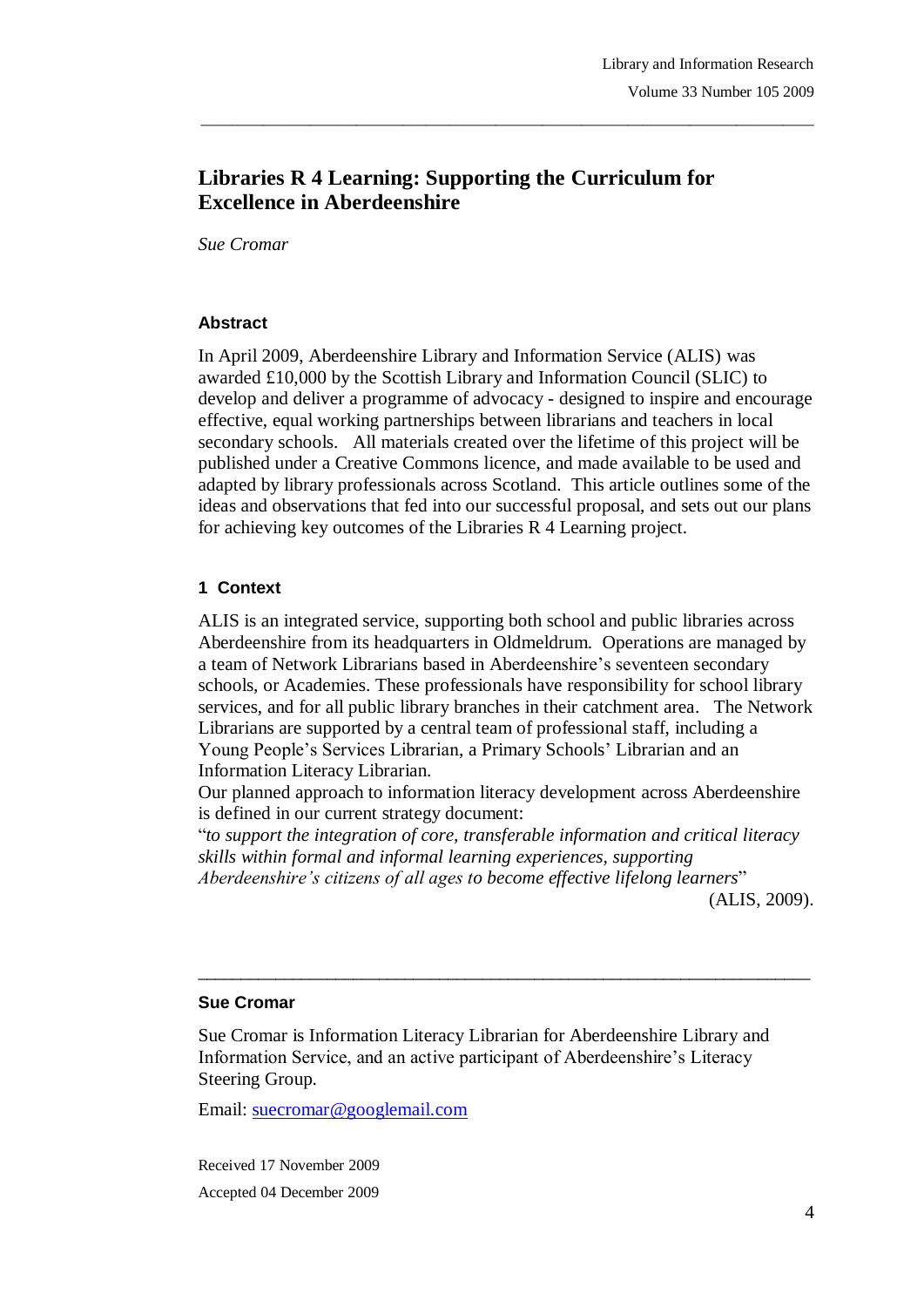# **Libraries R 4 Learning: Supporting the Curriculum for Excellence in Aberdeenshire**

\_\_\_\_\_\_\_\_\_\_\_\_\_\_\_\_\_\_\_\_\_\_\_\_\_\_\_\_\_\_\_\_\_\_\_\_\_\_\_\_\_\_\_\_\_\_\_\_\_\_\_\_\_\_\_\_\_\_\_\_\_\_\_\_\_\_\_\_\_\_\_\_\_\_\_\_\_\_\_

*Sue Cromar*

#### **Abstract**

In April 2009, Aberdeenshire Library and Information Service (ALIS) was awarded £10,000 by the Scottish Library and Information Council (SLIC) to develop and deliver a programme of advocacy - designed to inspire and encourage effective, equal working partnerships between librarians and teachers in local secondary schools. All materials created over the lifetime of this project will be published under a Creative Commons licence, and made available to be used and adapted by library professionals across Scotland. This article outlines some of the ideas and observations that fed into our successful proposal, and sets out our plans for achieving key outcomes of the Libraries R 4 Learning project.

### **1 Context**

ALIS is an integrated service, supporting both school and public libraries across Aberdeenshire from its headquarters in Oldmeldrum. Operations are managed by a team of Network Librarians based in Aberdeenshire"s seventeen secondary schools, or Academies. These professionals have responsibility for school library services, and for all public library branches in their catchment area. The Network Librarians are supported by a central team of professional staff, including a Young People"s Services Librarian, a Primary Schools" Librarian and an Information Literacy Librarian.

Our planned approach to information literacy development across Aberdeenshire is defined in our current strategy document:

"*to support the integration of core, transferable information and critical literacy skills within formal and informal learning experiences, supporting Aberdeenshire's citizens of all ages to become effective lifelong learners*" (ALIS, 2009).

 $\_$  ,  $\_$  ,  $\_$  ,  $\_$  ,  $\_$  ,  $\_$  ,  $\_$  ,  $\_$  ,  $\_$  ,  $\_$  ,  $\_$  ,  $\_$  ,  $\_$  ,  $\_$  ,  $\_$  ,  $\_$  ,  $\_$  ,  $\_$  ,  $\_$  ,  $\_$ 

#### **Sue Cromar**

Sue Cromar is Information Literacy Librarian for Aberdeenshire Library and Information Service, and an active participant of Aberdeenshire's Literacy Steering Group.

Email: suecromar@googlemail.com

Received 17 November 2009 Accepted 04 December 2009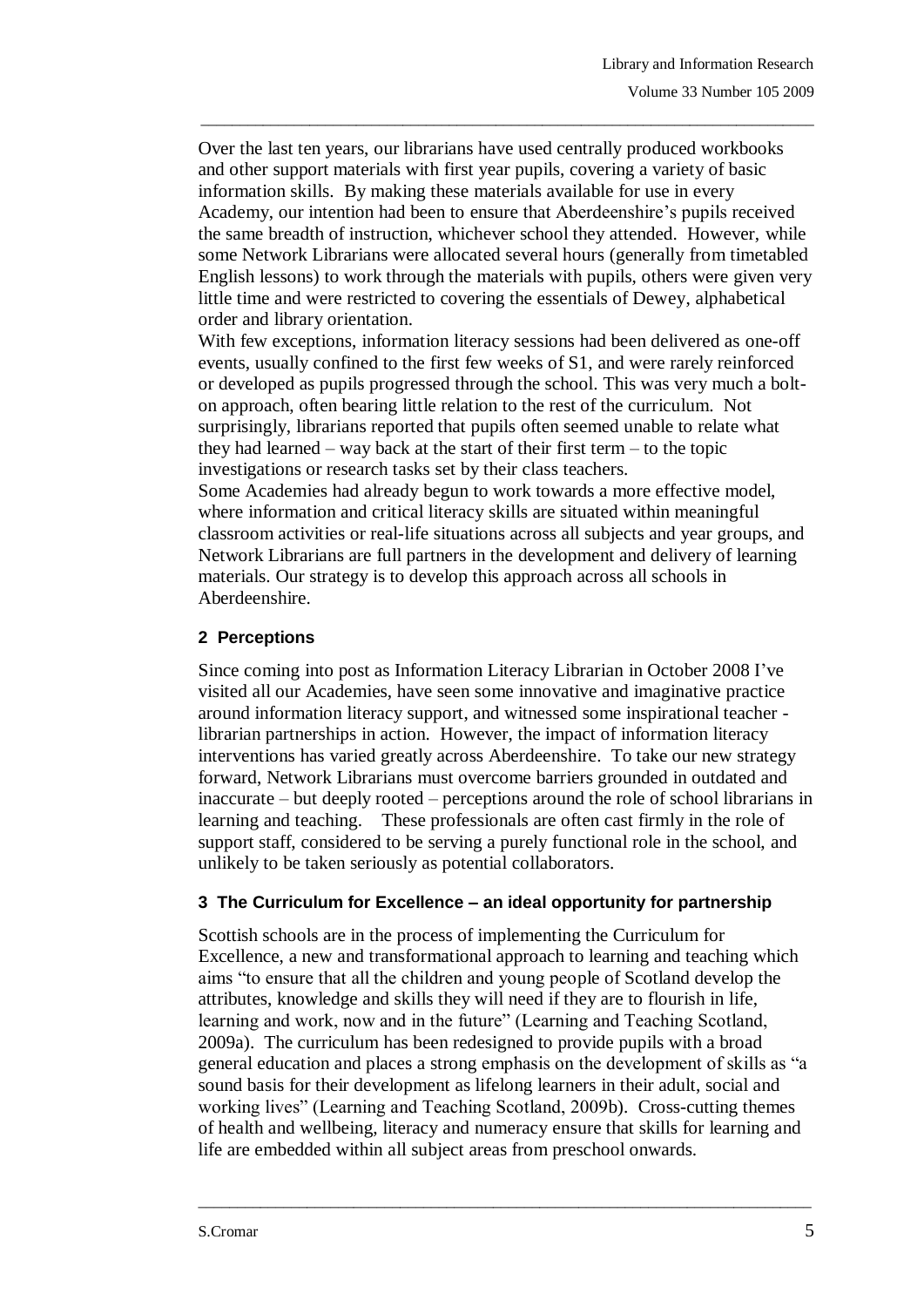Over the last ten years, our librarians have used centrally produced workbooks and other support materials with first year pupils, covering a variety of basic information skills. By making these materials available for use in every Academy, our intention had been to ensure that Aberdeenshire"s pupils received the same breadth of instruction, whichever school they attended. However, while some Network Librarians were allocated several hours (generally from timetabled English lessons) to work through the materials with pupils, others were given very little time and were restricted to covering the essentials of Dewey, alphabetical order and library orientation.

\_\_\_\_\_\_\_\_\_\_\_\_\_\_\_\_\_\_\_\_\_\_\_\_\_\_\_\_\_\_\_\_\_\_\_\_\_\_\_\_\_\_\_\_\_\_\_\_\_\_\_\_\_\_\_\_\_\_\_\_\_\_\_\_\_\_\_\_\_\_\_\_\_\_\_\_\_\_\_

With few exceptions, information literacy sessions had been delivered as one-off events, usually confined to the first few weeks of S1, and were rarely reinforced or developed as pupils progressed through the school. This was very much a bolton approach, often bearing little relation to the rest of the curriculum. Not surprisingly, librarians reported that pupils often seemed unable to relate what they had learned – way back at the start of their first term – to the topic investigations or research tasks set by their class teachers.

Some Academies had already begun to work towards a more effective model, where information and critical literacy skills are situated within meaningful classroom activities or real-life situations across all subjects and year groups, and Network Librarians are full partners in the development and delivery of learning materials. Our strategy is to develop this approach across all schools in Aberdeenshire.

### **2 Perceptions**

Since coming into post as Information Literacy Librarian in October 2008 I"ve visited all our Academies, have seen some innovative and imaginative practice around information literacy support, and witnessed some inspirational teacher librarian partnerships in action. However, the impact of information literacy interventions has varied greatly across Aberdeenshire. To take our new strategy forward, Network Librarians must overcome barriers grounded in outdated and inaccurate – but deeply rooted – perceptions around the role of school librarians in learning and teaching. These professionals are often cast firmly in the role of support staff, considered to be serving a purely functional role in the school, and unlikely to be taken seriously as potential collaborators.

### **3 The Curriculum for Excellence – an ideal opportunity for partnership**

Scottish schools are in the process of implementing the Curriculum for Excellence, a new and transformational approach to learning and teaching which aims "to ensure that all the children and young people of Scotland develop the attributes, knowledge and skills they will need if they are to flourish in life, learning and work, now and in the future" (Learning and Teaching Scotland, 2009a). The curriculum has been redesigned to provide pupils with a broad general education and places a strong emphasis on the development of skills as "a sound basis for their development as lifelong learners in their adult, social and working lives" (Learning and Teaching Scotland, 2009b). Cross-cutting themes of health and wellbeing, literacy and numeracy ensure that skills for learning and life are embedded within all subject areas from preschool onwards.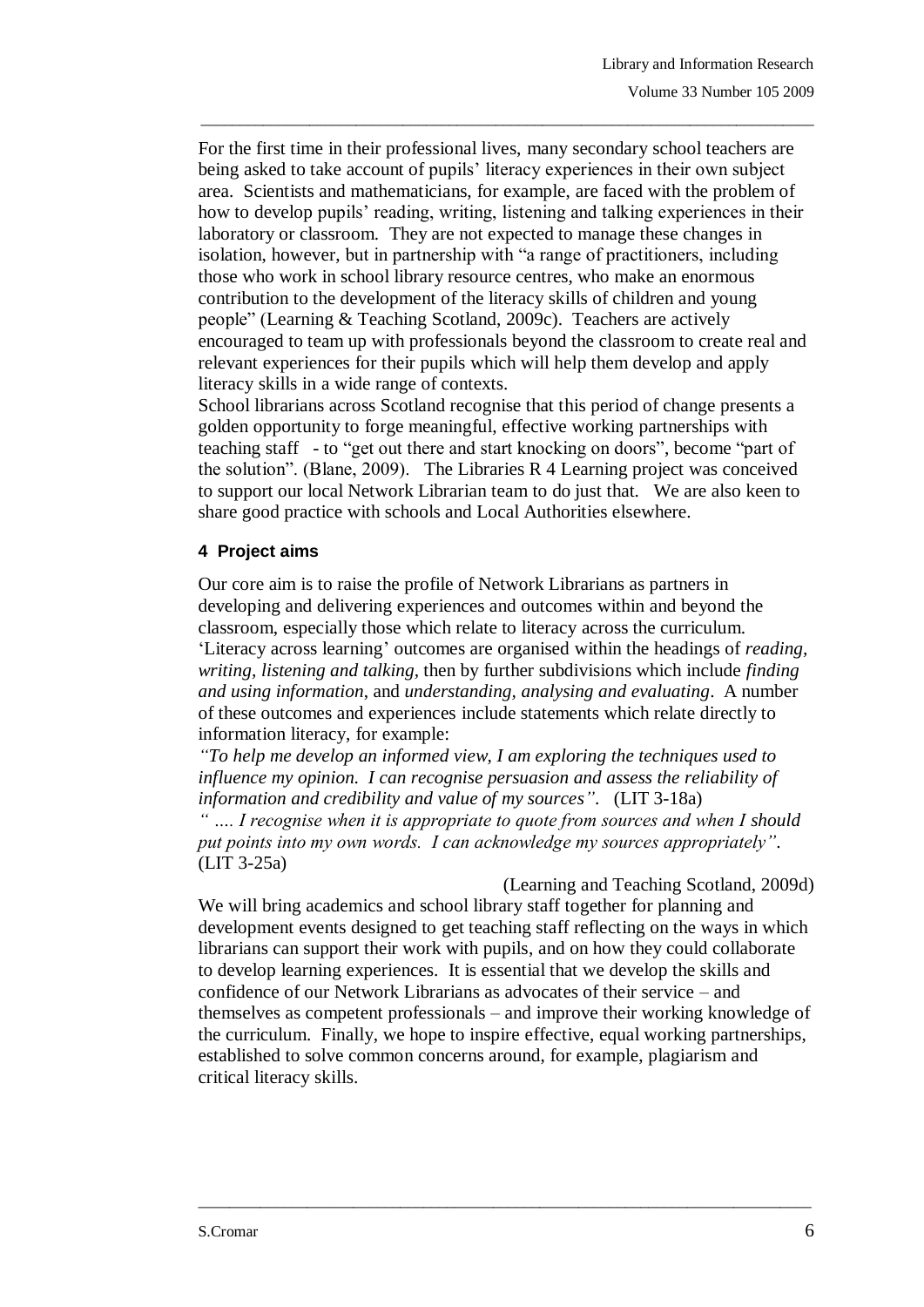For the first time in their professional lives, many secondary school teachers are being asked to take account of pupils' literacy experiences in their own subject area. Scientists and mathematicians, for example, are faced with the problem of how to develop pupils' reading, writing, listening and talking experiences in their laboratory or classroom. They are not expected to manage these changes in isolation, however, but in partnership with "a range of practitioners, including those who work in school library resource centres, who make an enormous contribution to the development of the literacy skills of children and young people" (Learning & Teaching Scotland, 2009c). Teachers are actively encouraged to team up with professionals beyond the classroom to create real and relevant experiences for their pupils which will help them develop and apply literacy skills in a wide range of contexts.

\_\_\_\_\_\_\_\_\_\_\_\_\_\_\_\_\_\_\_\_\_\_\_\_\_\_\_\_\_\_\_\_\_\_\_\_\_\_\_\_\_\_\_\_\_\_\_\_\_\_\_\_\_\_\_\_\_\_\_\_\_\_\_\_\_\_\_\_\_\_\_\_\_\_\_\_\_\_\_

School librarians across Scotland recognise that this period of change presents a golden opportunity to forge meaningful, effective working partnerships with teaching staff - to "get out there and start knocking on doors", become "part of the solution". (Blane, 2009). The Libraries R 4 Learning project was conceived to support our local Network Librarian team to do just that. We are also keen to share good practice with schools and Local Authorities elsewhere.

### **4 Project aims**

Our core aim is to raise the profile of Network Librarians as partners in developing and delivering experiences and outcomes within and beyond the classroom, especially those which relate to literacy across the curriculum. "Literacy across learning" outcomes are organised within the headings of *reading, writing, listening and talking,* then by further subdivisions which include *finding and using information*, and *understanding, analysing and evaluating*. A number of these outcomes and experiences include statements which relate directly to information literacy, for example:

*"To help me develop an informed view, I am exploring the techniques used to influence my opinion. I can recognise persuasion and assess the reliability of information and credibility and value of my sources"*. (LIT 3-18a) *" …. I recognise when it is appropriate to quote from sources and when I should put points into my own words. I can acknowledge my sources appropriately".* (LIT 3-25a)

(Learning and Teaching Scotland, 2009d) We will bring academics and school library staff together for planning and development events designed to get teaching staff reflecting on the ways in which librarians can support their work with pupils, and on how they could collaborate to develop learning experiences. It is essential that we develop the skills and confidence of our Network Librarians as advocates of their service – and themselves as competent professionals – and improve their working knowledge of the curriculum. Finally, we hope to inspire effective, equal working partnerships, established to solve common concerns around, for example, plagiarism and critical literacy skills.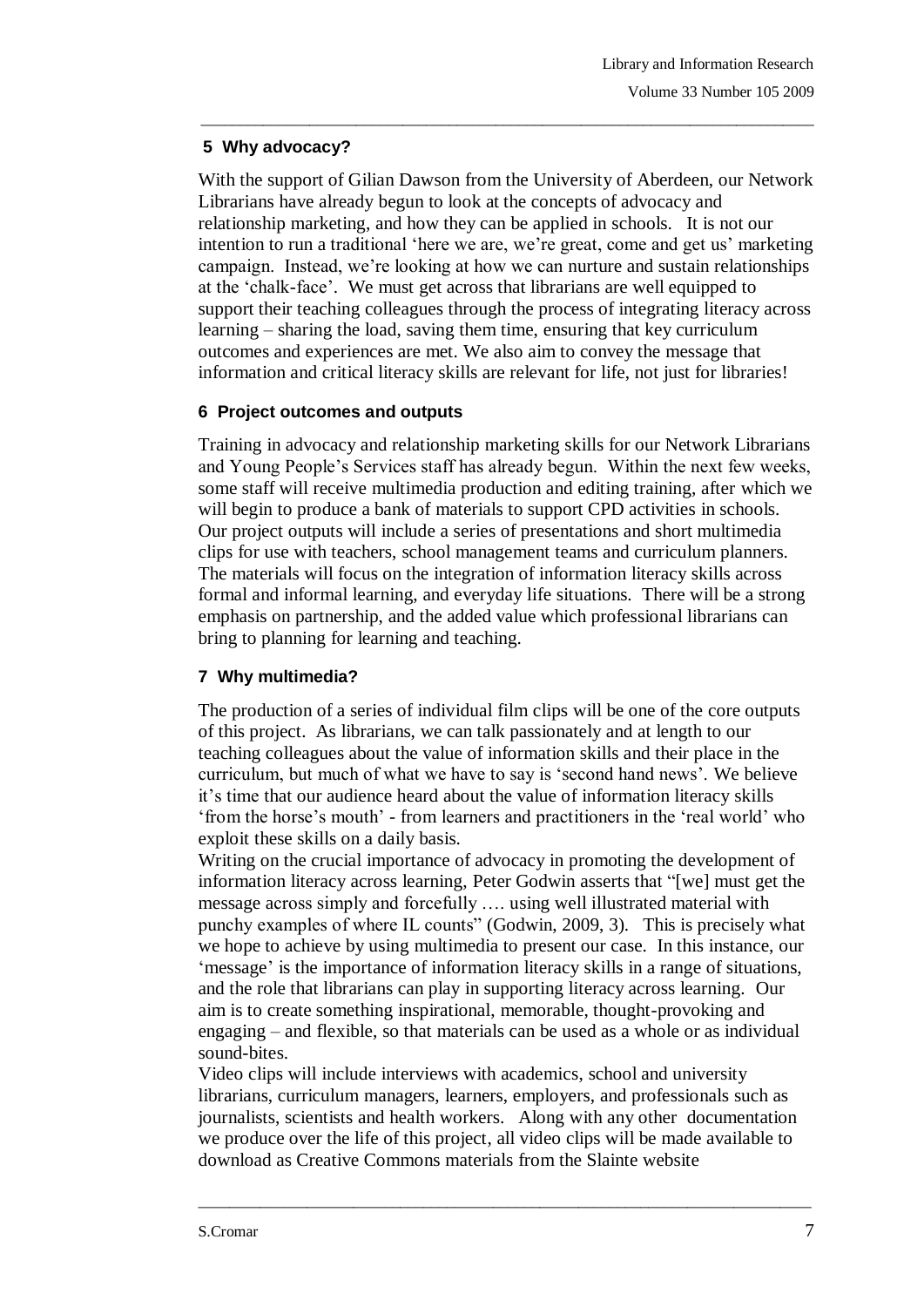### **5 Why advocacy?**

With the support of Gilian Dawson from the University of Aberdeen, our Network Librarians have already begun to look at the concepts of advocacy and relationship marketing, and how they can be applied in schools. It is not our intention to run a traditional 'here we are, we're great, come and get us' marketing campaign. Instead, we"re looking at how we can nurture and sustain relationships at the "chalk-face". We must get across that librarians are well equipped to support their teaching colleagues through the process of integrating literacy across learning – sharing the load, saving them time, ensuring that key curriculum outcomes and experiences are met. We also aim to convey the message that information and critical literacy skills are relevant for life, not just for libraries!

\_\_\_\_\_\_\_\_\_\_\_\_\_\_\_\_\_\_\_\_\_\_\_\_\_\_\_\_\_\_\_\_\_\_\_\_\_\_\_\_\_\_\_\_\_\_\_\_\_\_\_\_\_\_\_\_\_\_\_\_\_\_\_\_\_\_\_\_\_\_\_\_\_\_\_\_\_\_\_

### **6 Project outcomes and outputs**

Training in advocacy and relationship marketing skills for our Network Librarians and Young People"s Services staff has already begun. Within the next few weeks, some staff will receive multimedia production and editing training, after which we will begin to produce a bank of materials to support CPD activities in schools. Our project outputs will include a series of presentations and short multimedia clips for use with teachers, school management teams and curriculum planners. The materials will focus on the integration of information literacy skills across formal and informal learning, and everyday life situations. There will be a strong emphasis on partnership, and the added value which professional librarians can bring to planning for learning and teaching.

# **7 Why multimedia?**

The production of a series of individual film clips will be one of the core outputs of this project. As librarians, we can talk passionately and at length to our teaching colleagues about the value of information skills and their place in the curriculum, but much of what we have to say is "second hand news". We believe it"s time that our audience heard about the value of information literacy skills "from the horse"s mouth" - from learners and practitioners in the "real world" who exploit these skills on a daily basis.

Writing on the crucial importance of advocacy in promoting the development of information literacy across learning, Peter Godwin asserts that "[we] must get the message across simply and forcefully …. using well illustrated material with punchy examples of where IL counts" (Godwin, 2009, 3). This is precisely what we hope to achieve by using multimedia to present our case. In this instance, our 'message' is the importance of information literacy skills in a range of situations. and the role that librarians can play in supporting literacy across learning. Our aim is to create something inspirational, memorable, thought-provoking and engaging – and flexible, so that materials can be used as a whole or as individual sound-bites.

Video clips will include interviews with academics, school and university librarians, curriculum managers, learners, employers, and professionals such as journalists, scientists and health workers. Along with any other documentation we produce over the life of this project, all video clips will be made available to download as Creative Commons materials from the Slainte website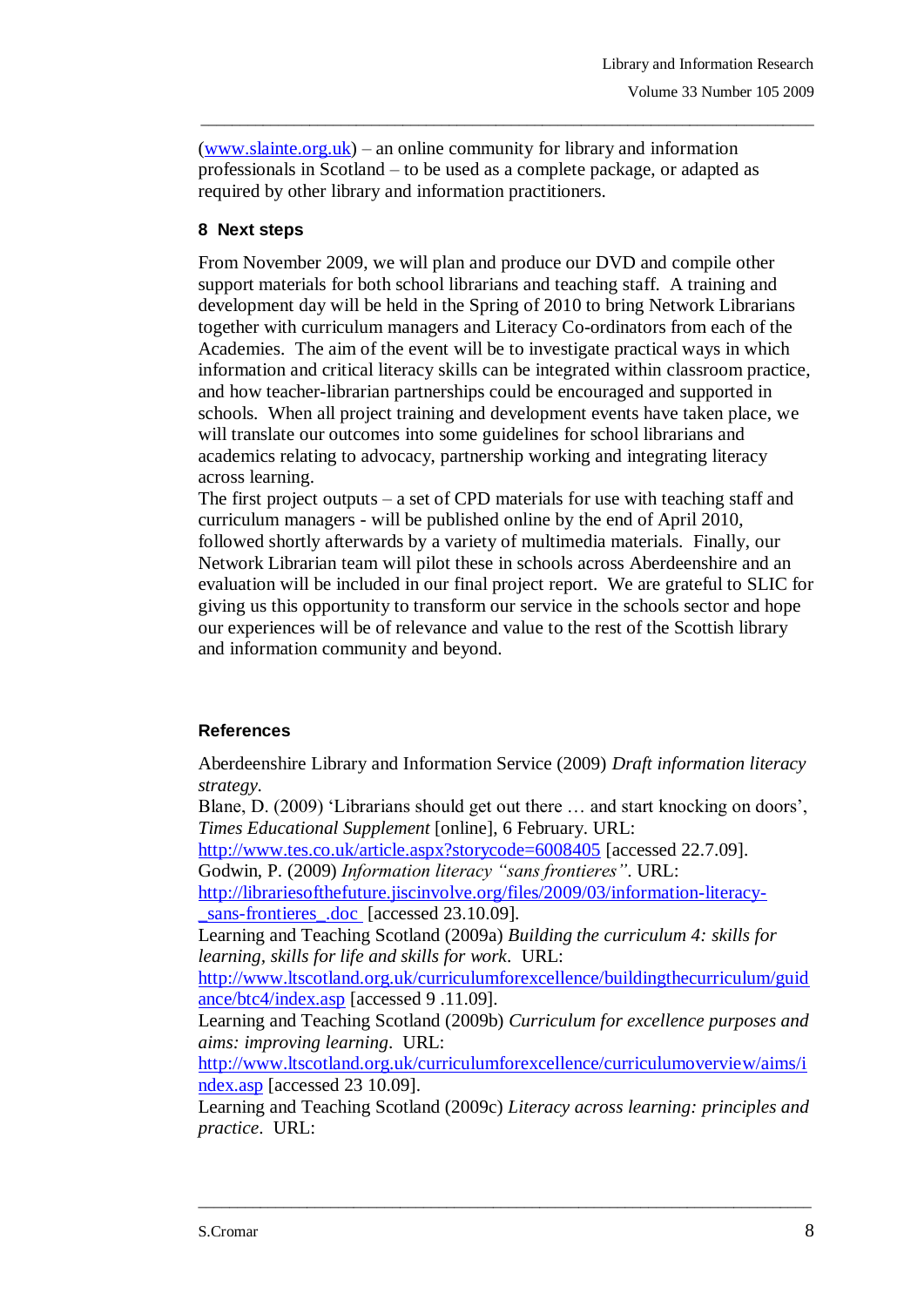[\(www.slainte.org.uk\)](file:///C:/Documents%20and%20Settings/Mum/Local%20Settings/Application%20Data/Opera/Opera/temporary_downloads/www.slainte.org.uk) – an online community for library and information professionals in Scotland – to be used as a complete package, or adapted as required by other library and information practitioners.

\_\_\_\_\_\_\_\_\_\_\_\_\_\_\_\_\_\_\_\_\_\_\_\_\_\_\_\_\_\_\_\_\_\_\_\_\_\_\_\_\_\_\_\_\_\_\_\_\_\_\_\_\_\_\_\_\_\_\_\_\_\_\_\_\_\_\_\_\_\_\_\_\_\_\_\_\_\_\_

### **8 Next steps**

From November 2009, we will plan and produce our DVD and compile other support materials for both school librarians and teaching staff. A training and development day will be held in the Spring of 2010 to bring Network Librarians together with curriculum managers and Literacy Co-ordinators from each of the Academies. The aim of the event will be to investigate practical ways in which information and critical literacy skills can be integrated within classroom practice, and how teacher-librarian partnerships could be encouraged and supported in schools. When all project training and development events have taken place, we will translate our outcomes into some guidelines for school librarians and academics relating to advocacy, partnership working and integrating literacy across learning.

The first project outputs – a set of CPD materials for use with teaching staff and curriculum managers - will be published online by the end of April 2010, followed shortly afterwards by a variety of multimedia materials. Finally, our Network Librarian team will pilot these in schools across Aberdeenshire and an evaluation will be included in our final project report. We are grateful to SLIC for giving us this opportunity to transform our service in the schools sector and hope our experiences will be of relevance and value to the rest of the Scottish library and information community and beyond.

# **References**

Aberdeenshire Library and Information Service (2009) *Draft information literacy strategy.*

Blane, D. (2009) 'Librarians should get out there ... and start knocking on doors', *Times Educational Supplement* [online], 6 February. URL:

<http://www.tes.co.uk/article.aspx?storycode=6008405> [accessed 22.7.09]. Godwin, P. (2009) *Information literacy "sans frontieres"*. URL:

[http://librariesofthefuture.jiscinvolve.org/files/2009/03/information-literacy](http://librariesofthefuture.jiscinvolve.org/files/2009/03/information-literacy-_sans-frontieres_.doc) sans-frontieres .doc [accessed 23.10.09].

Learning and Teaching Scotland (2009a) *Building the curriculum 4: skills for learning, skills for life and skills for work*. URL:

[http://www.ltscotland.org.uk/curriculumforexcellence/buildingthecurriculum/guid](http://www.ltscotland.org.uk/curriculumforexcellence/buildingthecurriculum/guidance/btc4/index.asp) [ance/btc4/index.asp](http://www.ltscotland.org.uk/curriculumforexcellence/buildingthecurriculum/guidance/btc4/index.asp) [accessed 9 .11.09].

Learning and Teaching Scotland (2009b) *Curriculum for excellence purposes and aims: improving learning*. URL:

[http://www.ltscotland.org.uk/curriculumforexcellence/curriculumoverview/aims/i](http://www.ltscotland.org.uk/curriculumforexcellence/curriculumoverview/aims/index.asp) [ndex.asp](http://www.ltscotland.org.uk/curriculumforexcellence/curriculumoverview/aims/index.asp) [accessed 23 10.09].

Learning and Teaching Scotland (2009c) *Literacy across learning: principles and practice*. URL: